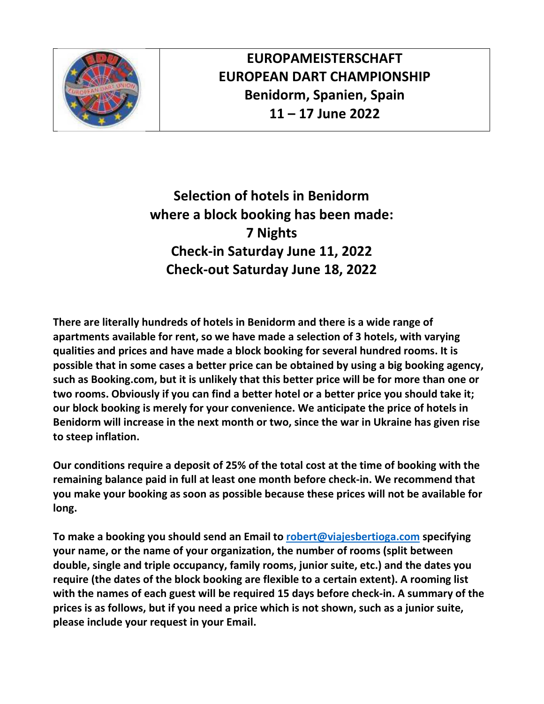

**EUROPAMEISTERSCHAFT EUROPEAN DART CHAMPIONSHIP Benidorm, Spanien, Spain 11 – 17 June 2022** 

**Selection of hotels in Benidorm where a block booking has been made: 7 Nights Check-in Saturday June 11, 2022 Check-out Saturday June 18, 2022** 

**There are literally hundreds of hotels in Benidorm and there is a wide range of apartments available for rent, so we have made a selection of 3 hotels, with varying qualities and prices and have made a block booking for several hundred rooms. It is possible that in some cases a better price can be obtained by using a big booking agency, such as Booking.com, but it is unlikely that this better price will be for more than one or two rooms. Obviously if you can find a better hotel or a better price you should take it; our block booking is merely for your convenience. We anticipate the price of hotels in Benidorm will increase in the next month or two, since the war in Ukraine has given rise to steep inflation.** 

**Our conditions require a deposit of 25% of the total cost at the time of booking with the remaining balance paid in full at least one month before check-in. We recommend that you make your booking as soon as possible because these prices will not be available for long.** 

**To make a booking you should send an Email to robert@viajesbertioga.com specifying your name, or the name of your organization, the number of rooms (split between double, single and triple occupancy, family rooms, junior suite, etc.) and the dates you require (the dates of the block booking are flexible to a certain extent). A rooming list with the names of each guest will be required 15 days before check-in. A summary of the prices is as follows, but if you need a price which is not shown, such as a junior suite, please include your request in your Email.**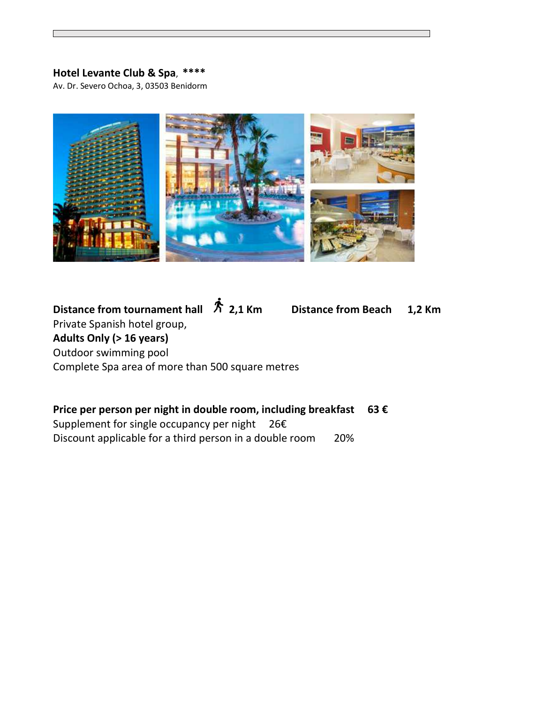## **Hotel Levante Club & Spa**, **\*\*\*\***

Av. Dr. Severo Ochoa, 3, 03503 Benidorm



# Distance from tournament hall  $\hat{\pi}$  2,1 Km Distance from Beach 1,2 Km Private Spanish hotel group, **Adults Only (> 16 years)**  Outdoor swimming pool Complete Spa area of more than 500 square metres

## **Price per person per night in double room, including breakfast 63 €**

Supplement for single occupancy per night 26€ Discount applicable for a third person in a double room 20%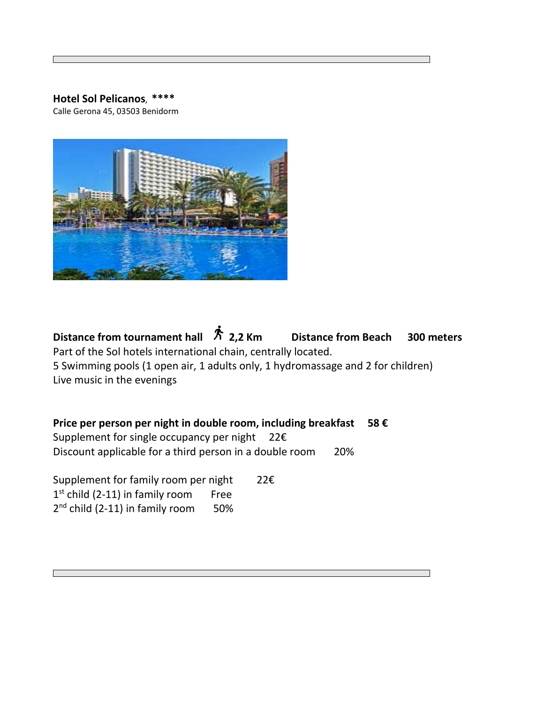### **Hotel Sol Pelicanos**, **\*\*\*\***

Calle Gerona 45, 03503 Benidorm



Distance from tournament hall  $\hat{\pi}$  2,2 Km Distance from Beach 300 meters Part of the Sol hotels international chain, centrally located. 5 Swimming pools (1 open air, 1 adults only, 1 hydromassage and 2 for children) Live music in the evenings

**Price per person per night in double room, including breakfast 58 €**  Supplement for single occupancy per night  $22 \epsilon$ Discount applicable for a third person in a double room 20%

Supplement for family room per night 22€ 1<sup>st</sup> child (2-11) in family room Free 2<sup>nd</sup> child (2-11) in family room 50%